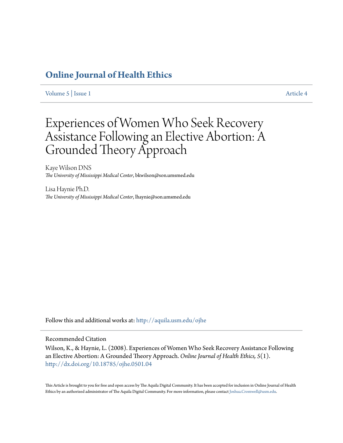# **[Online Journal of Health Ethics](http://aquila.usm.edu/ojhe?utm_source=aquila.usm.edu%2Fojhe%2Fvol5%2Fiss1%2F4&utm_medium=PDF&utm_campaign=PDFCoverPages)**

[Volume 5](http://aquila.usm.edu/ojhe/vol5?utm_source=aquila.usm.edu%2Fojhe%2Fvol5%2Fiss1%2F4&utm_medium=PDF&utm_campaign=PDFCoverPages) | [Issue 1](http://aquila.usm.edu/ojhe/vol5/iss1?utm_source=aquila.usm.edu%2Fojhe%2Fvol5%2Fiss1%2F4&utm_medium=PDF&utm_campaign=PDFCoverPages) [Article 4](http://aquila.usm.edu/ojhe/vol5/iss1/4?utm_source=aquila.usm.edu%2Fojhe%2Fvol5%2Fiss1%2F4&utm_medium=PDF&utm_campaign=PDFCoverPages)

# Experiences of Women Who Seek Recovery Assistance Following an Elective Abortion: A Grounded Theory Approach

Kaye Wilson DNS *The University of Mississippi Medical Center*, bkwilson@son.umsmed.edu

Lisa Haynie Ph.D. *The University of Mississippi Medical Center*, lhaynie@son.umsmed.edu

Follow this and additional works at: [http://aquila.usm.edu/ojhe](http://aquila.usm.edu/ojhe?utm_source=aquila.usm.edu%2Fojhe%2Fvol5%2Fiss1%2F4&utm_medium=PDF&utm_campaign=PDFCoverPages)

## Recommended Citation

Wilson, K., & Haynie, L. (2008). Experiences of Women Who Seek Recovery Assistance Following an Elective Abortion: A Grounded Theory Approach. *Online Journal of Health Ethics, 5*(1). <http://dx.doi.org/10.18785/ojhe.0501.04>

This Article is brought to you for free and open access by The Aquila Digital Community. It has been accepted for inclusion in Online Journal of Health Ethics by an authorized administrator of The Aquila Digital Community. For more information, please contact [Joshua.Cromwell@usm.edu.](mailto:Joshua.Cromwell@usm.edu)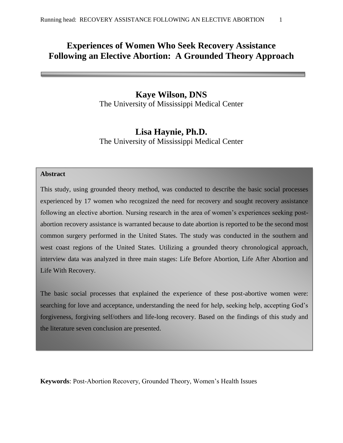# **Experiences of Women Who Seek Recovery Assistance Following an Elective Abortion: A Grounded Theory Approach**

# **Kaye Wilson, DNS**

The University of Mississippi Medical Center

# **Lisa Haynie, Ph.D.**

The University of Mississippi Medical Center

# **Abstract**

This study, using grounded theory method, was conducted to describe the basic social processes experienced by 17 women who recognized the need for recovery and sought recovery assistance following an elective abortion. Nursing research in the area of women's experiences seeking postabortion recovery assistance is warranted because to date abortion is reported to be the second most common surgery performed in the United States. The study was conducted in the southern and west coast regions of the United States. Utilizing a grounded theory chronological approach, interview data was analyzed in three main stages: Life Before Abortion, Life After Abortion and Life With Recovery.

The basic social processes that explained the experience of these post-abortive women were: searching for love and acceptance, understanding the need for help, seeking help, accepting God's forgiveness, forgiving self/others and life-long recovery. Based on the findings of this study and the literature seven conclusion are presented.

**Keywords**: Post-Abortion Recovery, Grounded Theory, Women's Health Issues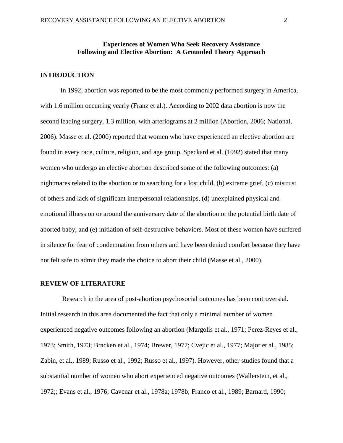# **Experiences of Women Who Seek Recovery Assistance Following and Elective Abortion: A Grounded Theory Approach**

# **INTRODUCTION**

In 1992, abortion was reported to be the most commonly performed surgery in America, with 1.6 million occurring yearly (Franz et al.). According to 2002 data abortion is now the second leading surgery, 1.3 million, with arteriograms at 2 million (Abortion, 2006; National, 2006). Masse et al. (2000) reported that women who have experienced an elective abortion are found in every race, culture, religion, and age group. Speckard et al. (1992) stated that many women who undergo an elective abortion described some of the following outcomes: (a) nightmares related to the abortion or to searching for a lost child, (b) extreme grief, (c) mistrust of others and lack of significant interpersonal relationships, (d) unexplained physical and emotional illness on or around the anniversary date of the abortion or the potential birth date of aborted baby, and (e) initiation of self-destructive behaviors. Most of these women have suffered in silence for fear of condemnation from others and have been denied comfort because they have not felt safe to admit they made the choice to abort their child (Masse et al., 2000).

#### **REVIEW OF LITERATURE**

Research in the area of post-abortion psychosocial outcomes has been controversial. Initial research in this area documented the fact that only a minimal number of women experienced negative outcomes following an abortion (Margolis et al., 1971; Perez-Reyes et al., 1973; Smith, 1973; Bracken et al., 1974; Brewer, 1977; Cvejic et al., 1977; Major et al., 1985; Zabin, et al., 1989; Russo et al., 1992; Russo et al., 1997). However, other studies found that a substantial number of women who abort experienced negative outcomes (Wallerstein, et al., 1972;; Evans et al., 1976; Cavenar et al., 1978a; 1978b; Franco et al., 1989; Barnard, 1990;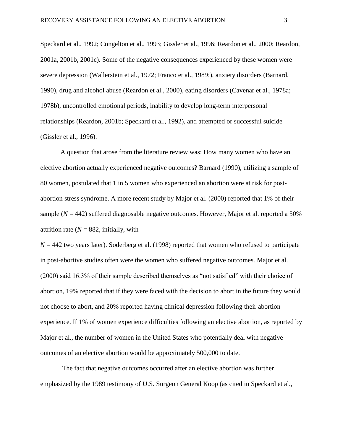Speckard et al., 1992; Congelton et al., 1993; Gissler et al., 1996; Reardon et al., 2000; Reardon, 2001a, 2001b, 2001c). Some of the negative consequences experienced by these women were severe depression (Wallerstein et al., 1972; Franco et al., 1989;), anxiety disorders (Barnard, 1990), drug and alcohol abuse (Reardon et al., 2000), eating disorders (Cavenar et al., 1978a; 1978b), uncontrolled emotional periods, inability to develop long-term interpersonal relationships (Reardon, 2001b; Speckard et al., 1992), and attempted or successful suicide (Gissler et al., 1996).

A question that arose from the literature review was: How many women who have an elective abortion actually experienced negative outcomes? Barnard (1990), utilizing a sample of 80 women, postulated that 1 in 5 women who experienced an abortion were at risk for postabortion stress syndrome. A more recent study by Major et al. (2000) reported that 1% of their sample  $(N = 442)$  suffered diagnosable negative outcomes. However, Major et al. reported a 50% attrition rate ( $N = 882$ , initially, with

 $N = 442$  two years later). Soderberg et al. (1998) reported that women who refused to participate in post-abortive studies often were the women who suffered negative outcomes. Major et al. (2000) said 16.3% of their sample described themselves as "not satisfied" with their choice of abortion, 19% reported that if they were faced with the decision to abort in the future they would not choose to abort, and 20% reported having clinical depression following their abortion experience. If 1% of women experience difficulties following an elective abortion, as reported by Major et al., the number of women in the United States who potentially deal with negative outcomes of an elective abortion would be approximately 500,000 to date.

The fact that negative outcomes occurred after an elective abortion was further emphasized by the 1989 testimony of U.S. Surgeon General Koop (as cited in Speckard et al.,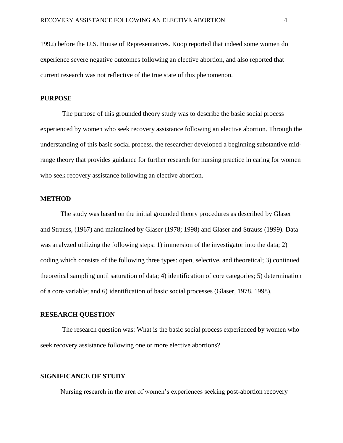1992) before the U.S. House of Representatives. Koop reported that indeed some women do experience severe negative outcomes following an elective abortion, and also reported that current research was not reflective of the true state of this phenomenon.

#### **PURPOSE**

The purpose of this grounded theory study was to describe the basic social process experienced by women who seek recovery assistance following an elective abortion. Through the understanding of this basic social process, the researcher developed a beginning substantive midrange theory that provides guidance for further research for nursing practice in caring for women who seek recovery assistance following an elective abortion.

#### **METHOD**

The study was based on the initial grounded theory procedures as described by Glaser and Strauss, (1967) and maintained by Glaser (1978; 1998) and Glaser and Strauss (1999). Data was analyzed utilizing the following steps: 1) immersion of the investigator into the data; 2) coding which consists of the following three types: open, selective, and theoretical; 3) continued theoretical sampling until saturation of data; 4) identification of core categories; 5) determination of a core variable; and 6) identification of basic social processes (Glaser, 1978, 1998).

# **RESEARCH QUESTION**

The research question was: What is the basic social process experienced by women who seek recovery assistance following one or more elective abortions?

# **SIGNIFICANCE OF STUDY**

Nursing research in the area of women's experiences seeking post-abortion recovery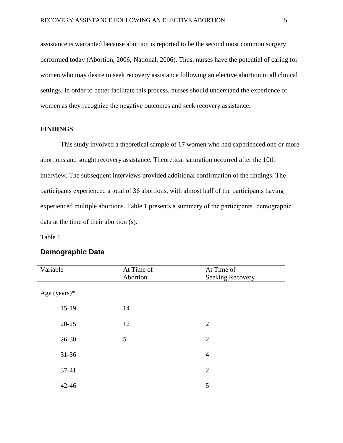assistance is warranted because abortion is reported to be the second most common surgery performed today (Abortion, 2006; National, 2006). Thus, nurses have the potential of caring for women who may desire to seek recovery assistance following an elective abortion in all clinical settings. In order to better facilitate this process, nurses should understand the experience of women as they recognize the negative outcomes and seek recovery assistance.

# **FINDINGS**

This study involved a theoretical sample of 17 women who had experienced one or more abortions and sought recovery assistance. Theoretical saturation occurred after the 10th interview. The subsequent interviews provided additional confirmation of the findings. The participants experienced a total of 36 abortions, with almost half of the participants having experienced multiple abortions. Table 1 presents a summary of the participants' demographic data at the time of their abortion (s).

Table 1

# **Demographic Data**

| Variable     | At Time of<br>Abortion | At Time of<br><b>Seeking Recovery</b> |
|--------------|------------------------|---------------------------------------|
| Age (years)* |                        |                                       |
| $15-19$      | 14                     |                                       |
| $20 - 25$    | 12                     | 2                                     |
| 26-30        | 5                      | 2                                     |
| $31 - 36$    |                        | $\overline{4}$                        |
| $37-41$      |                        | 2                                     |
| $42 - 46$    |                        | 5                                     |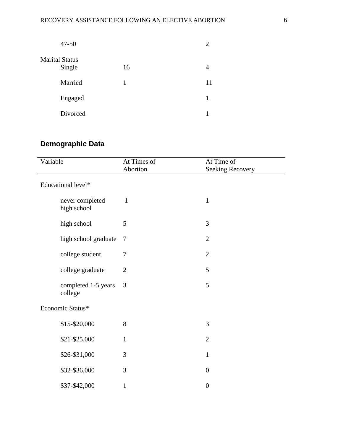| $47 - 50$                       |    | 2  |
|---------------------------------|----|----|
| <b>Marital Status</b><br>Single | 16 | 4  |
| Married                         | 1  | 11 |
| Engaged                         |    | 1  |
| Divorced                        |    |    |

# **Demographic Data**

| Variable           |                                | At Times of<br>Abortion | At Time of<br><b>Seeking Recovery</b> |
|--------------------|--------------------------------|-------------------------|---------------------------------------|
| Educational level* |                                |                         |                                       |
|                    | never completed<br>high school | $\mathbf{1}$            | $\mathbf{1}$                          |
|                    | high school                    | 5                       | 3                                     |
|                    | high school graduate           | $\tau$                  | $\overline{2}$                        |
|                    | college student                | $\overline{7}$          | $\overline{2}$                        |
|                    | college graduate               | $\overline{2}$          | 5                                     |
|                    | completed 1-5 years<br>college | 3                       | 5                                     |
| Economic Status*   |                                |                         |                                       |
|                    | \$15-\$20,000                  | 8                       | 3                                     |
|                    | \$21-\$25,000                  | $\mathbf{1}$            | $\overline{2}$                        |
|                    | \$26-\$31,000                  | 3                       | $\mathbf{1}$                          |
|                    | \$32-\$36,000                  | 3                       | $\boldsymbol{0}$                      |
|                    | \$37-\$42,000                  | $\mathbf{1}$            | $\boldsymbol{0}$                      |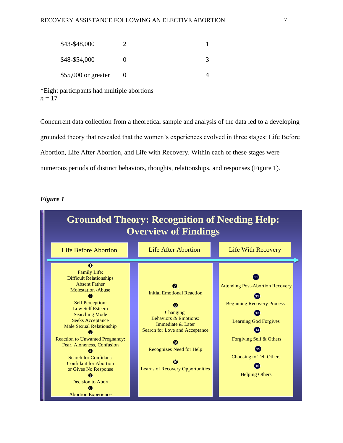| \$43-\$48,000       |   |  |
|---------------------|---|--|
| \$48-\$54,000       |   |  |
| \$55,000 or greater | O |  |

\*Eight participants had multiple abortions  $n = 17$ 

Concurrent data collection from a theoretical sample and analysis of the data led to a developing grounded theory that revealed that the women's experiences evolved in three stages: Life Before Abortion, Life After Abortion, and Life with Recovery. Within each of these stages were numerous periods of distinct behaviors, thoughts, relationships, and responses (Figure 1).

# *Figure 1*

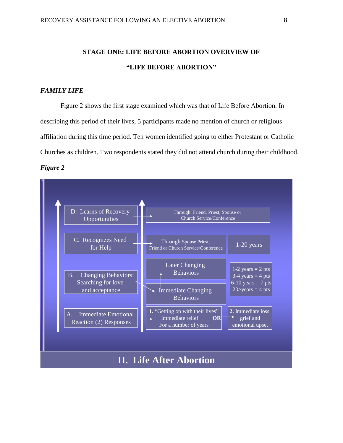# **STAGE ONE: LIFE BEFORE ABORTION OVERVIEW OF "LIFE BEFORE ABORTION"**

# *FAMILY LIFE*

Figure 2 shows the first stage examined which was that of Life Before Abortion. In describing this period of their lives, 5 participants made no mention of church or religious affiliation during this time period. Ten women identified going to either Protestant or Catholic Churches as children. Two respondents stated they did not attend church during their childhood. *Figure 2*

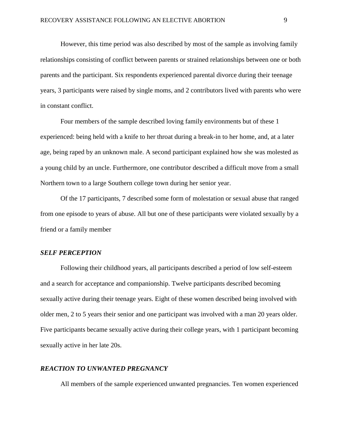However, this time period was also described by most of the sample as involving family relationships consisting of conflict between parents or strained relationships between one or both parents and the participant. Six respondents experienced parental divorce during their teenage years, 3 participants were raised by single moms, and 2 contributors lived with parents who were in constant conflict.

Four members of the sample described loving family environments but of these 1 experienced: being held with a knife to her throat during a break-in to her home, and, at a later age, being raped by an unknown male. A second participant explained how she was molested as a young child by an uncle. Furthermore, one contributor described a difficult move from a small Northern town to a large Southern college town during her senior year.

Of the 17 participants, 7 described some form of molestation or sexual abuse that ranged from one episode to years of abuse. All but one of these participants were violated sexually by a friend or a family member

#### *SELF PERCEPTION*

Following their childhood years, all participants described a period of low self-esteem and a search for acceptance and companionship. Twelve participants described becoming sexually active during their teenage years. Eight of these women described being involved with older men, 2 to 5 years their senior and one participant was involved with a man 20 years older. Five participants became sexually active during their college years, with 1 participant becoming sexually active in her late 20s.

#### *REACTION TO UNWANTED PREGNANCY*

All members of the sample experienced unwanted pregnancies. Ten women experienced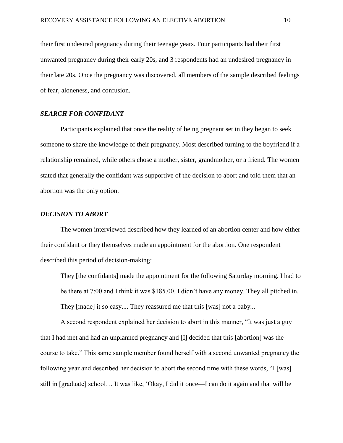their first undesired pregnancy during their teenage years. Four participants had their first unwanted pregnancy during their early 20s, and 3 respondents had an undesired pregnancy in their late 20s. Once the pregnancy was discovered, all members of the sample described feelings of fear, aloneness, and confusion.

#### *SEARCH FOR CONFIDANT*

Participants explained that once the reality of being pregnant set in they began to seek someone to share the knowledge of their pregnancy. Most described turning to the boyfriend if a relationship remained, while others chose a mother, sister, grandmother, or a friend. The women stated that generally the confidant was supportive of the decision to abort and told them that an abortion was the only option.

#### *DECISION TO ABORT*

The women interviewed described how they learned of an abortion center and how either their confidant or they themselves made an appointment for the abortion. One respondent described this period of decision-making:

They [the confidants] made the appointment for the following Saturday morning. I had to be there at 7:00 and I think it was \$185.00. I didn't have any money. They all pitched in. They [made] it so easy.... They reassured me that this [was] not a baby...

A second respondent explained her decision to abort in this manner, "It was just a guy that I had met and had an unplanned pregnancy and [I] decided that this [abortion] was the course to take." This same sample member found herself with a second unwanted pregnancy the following year and described her decision to abort the second time with these words, "I [was] still in [graduate] school… It was like, 'Okay, I did it once—I can do it again and that will be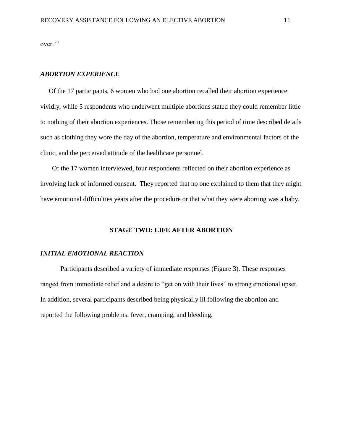over."

# *ABORTION EXPERIENCE*

 Of the 17 participants, 6 women who had one abortion recalled their abortion experience vividly, while 5 respondents who underwent multiple abortions stated they could remember little to nothing of their abortion experiences. Those remembering this period of time described details such as clothing they wore the day of the abortion, temperature and environmental factors of the clinic, and the perceived attitude of the healthcare personnel.

 Of the 17 women interviewed, four respondents reflected on their abortion experience as involving lack of informed consent. They reported that no one explained to them that they might have emotional difficulties years after the procedure or that what they were aborting was a baby.

#### **STAGE TWO: LIFE AFTER ABORTION**

#### *INITIAL EMOTIONAL REACTION*

Participants described a variety of immediate responses (Figure 3). These responses ranged from immediate relief and a desire to "get on with their lives" to strong emotional upset. In addition, several participants described being physically ill following the abortion and reported the following problems: fever, cramping, and bleeding.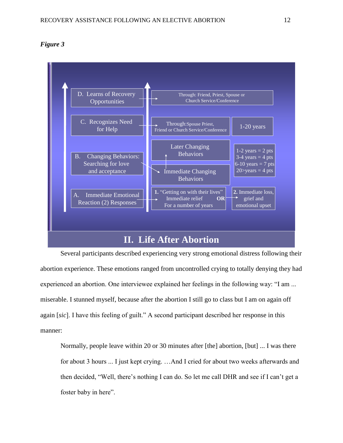



Several participants described experiencing very strong emotional distress following their abortion experience. These emotions ranged from uncontrolled crying to totally denying they had experienced an abortion. One interviewee explained her feelings in the following way: "I am ... miserable. I stunned myself, because after the abortion I still go to class but I am on again off again [*sic*]. I have this feeling of guilt." A second participant described her response in this manner:

Normally, people leave within 20 or 30 minutes after [the] abortion, [but] ... I was there for about 3 hours ... I just kept crying. …And I cried for about two weeks afterwards and then decided, "Well, there's nothing I can do. So let me call DHR and see if I can't get a foster baby in here".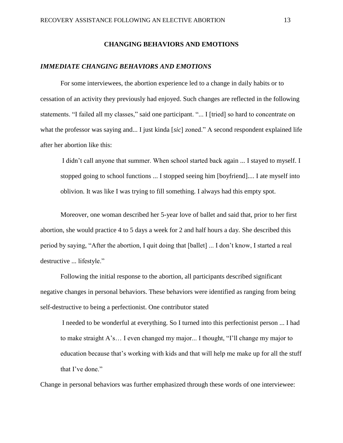# **CHANGING BEHAVIORS AND EMOTIONS**

#### *IMMEDIATE CHANGING BEHAVIORS AND EMOTIONS*

For some interviewees, the abortion experience led to a change in daily habits or to cessation of an activity they previously had enjoyed. Such changes are reflected in the following statements. "I failed all my classes," said one participant. "... I [tried] so hard to concentrate on what the professor was saying and... I just kinda [*sic*] zoned." A second respondent explained life after her abortion like this:

I didn't call anyone that summer. When school started back again ... I stayed to myself. I stopped going to school functions ... I stopped seeing him [boyfriend].... I ate myself into oblivion. It was like I was trying to fill something. I always had this empty spot.

Moreover, one woman described her 5-year love of ballet and said that, prior to her first abortion, she would practice 4 to 5 days a week for 2 and half hours a day*.* She described this period by saying, "After the abortion, I quit doing that [ballet] ... I don't know, I started a real destructive ... lifestyle."

Following the initial response to the abortion, all participants described significant negative changes in personal behaviors. These behaviors were identified as ranging from being self-destructive to being a perfectionist. One contributor stated

I needed to be wonderful at everything. So I turned into this perfectionist person ... I had to make straight A's… I even changed my major... I thought, "I'll change my major to education because that's working with kids and that will help me make up for all the stuff that I've done."

Change in personal behaviors was further emphasized through these words of one interviewee: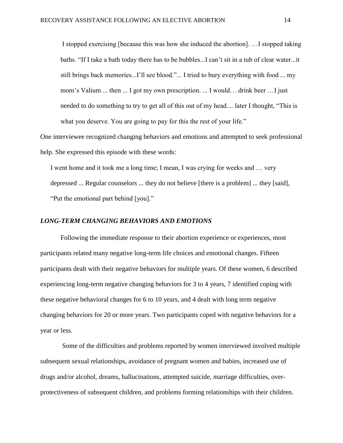I stopped exercising [because this was how she induced the abortion]. …I stopped taking baths. "If I take a bath today there has to be bubbles...I can't sit in a tub of clear water...it still brings back memories...I'll see blood."... I tried to bury everything with food ... my mom's Valium ... then ... I got my own prescription. ... I would… drink beer …I just needed to do something to try to get all of this out of my head.... later I thought, "This is what you deserve. You are going to pay for this the rest of your life."

One interviewee recognized changing behaviors and emotions and attempted to seek professional help. She expressed this episode with these words:

I went home and it took me a long time; I mean, I was crying for weeks and … very depressed ... Regular counselors ... they do not believe [there is a problem] ... they [said], "Put the emotional part behind [you]."

#### *LONG-TERM CHANGING BEHAVIORS AND EMOTIONS*

Following the immediate response to their abortion experience or experiences, most participants related many negative long-term life choices and emotional changes. Fifteen participants dealt with their negative behaviors for multiple years. Of these women, 6 described experiencing long-term negative changing behaviors for 3 to 4 years, 7 identified coping with these negative behavioral changes for 6 to 10 years, and 4 dealt with long term negative changing behaviors for 20 or more years. Two participants coped with negative behaviors for a year or less.

Some of the difficulties and problems reported by women interviewed involved multiple subsequent sexual relationships, avoidance of pregnant women and babies, increased use of drugs and/or alcohol, dreams, hallucinations, attempted suicide, marriage difficulties, overprotectiveness of subsequent children, and problems forming relationships with their children.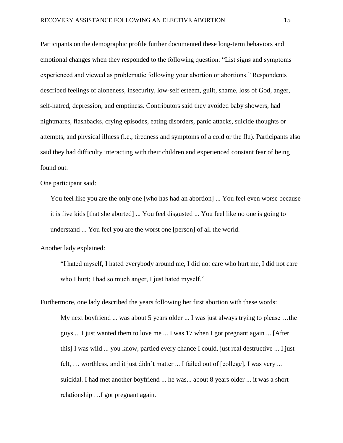Participants on the demographic profile further documented these long-term behaviors and emotional changes when they responded to the following question: "List signs and symptoms experienced and viewed as problematic following your abortion or abortions." Respondents described feelings of aloneness, insecurity, low-self esteem, guilt, shame, loss of God, anger, self-hatred, depression, and emptiness. Contributors said they avoided baby showers, had nightmares, flashbacks, crying episodes, eating disorders, panic attacks, suicide thoughts or attempts, and physical illness (i.e., tiredness and symptoms of a cold or the flu). Participants also said they had difficulty interacting with their children and experienced constant fear of being found out.

One participant said:

You feel like you are the only one [who has had an abortion] ... You feel even worse because it is five kids [that she aborted] ... You feel disgusted ... You feel like no one is going to understand ... You feel you are the worst one [person] of all the world.

Another lady explained:

"I hated myself, I hated everybody around me, I did not care who hurt me, I did not care who I hurt; I had so much anger, I just hated myself."

Furthermore, one lady described the years following her first abortion with these words: My next boyfriend ... was about 5 years older ... I was just always trying to please …the guys.... I just wanted them to love me ... I was 17 when I got pregnant again ... [After this] I was wild ... you know, partied every chance I could, just real destructive ... I just felt, … worthless, and it just didn't matter ... I failed out of [college], I was very ... suicidal. I had met another boyfriend ... he was... about 8 years older ... it was a short relationship …I got pregnant again.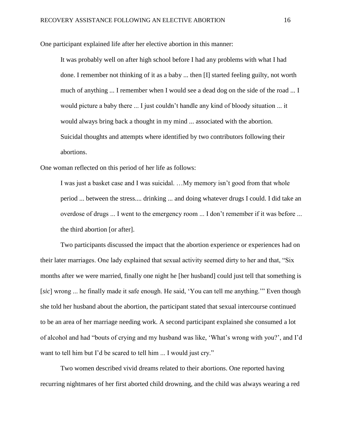One participant explained life after her elective abortion in this manner:

It was probably well on after high school before I had any problems with what I had done. I remember not thinking of it as a baby ... then [I] started feeling guilty, not worth much of anything ... I remember when I would see a dead dog on the side of the road ... I would picture a baby there ... I just couldn't handle any kind of bloody situation ... it would always bring back a thought in my mind ... associated with the abortion. Suicidal thoughts and attempts where identified by two contributors following their abortions.

One woman reflected on this period of her life as follows:

I was just a basket case and I was suicidal. …My memory isn't good from that whole period ... between the stress.... drinking ... and doing whatever drugs I could. I did take an overdose of drugs ... I went to the emergency room ... I don't remember if it was before ... the third abortion [or after].

Two participants discussed the impact that the abortion experience or experiences had on their later marriages. One lady explained that sexual activity seemed dirty to her and that, "Six months after we were married, finally one night he [her husband] could just tell that something is [*sic*] wrong ... he finally made it safe enough. He said, 'You can tell me anything.'" Even though she told her husband about the abortion, the participant stated that sexual intercourse continued to be an area of her marriage needing work. A second participant explained she consumed a lot of alcohol and had "bouts of crying and my husband was like, 'What's wrong with you?', and I'd want to tell him but I'd be scared to tell him ... I would just cry."

Two women described vivid dreams related to their abortions. One reported having recurring nightmares of her first aborted child drowning, and the child was always wearing a red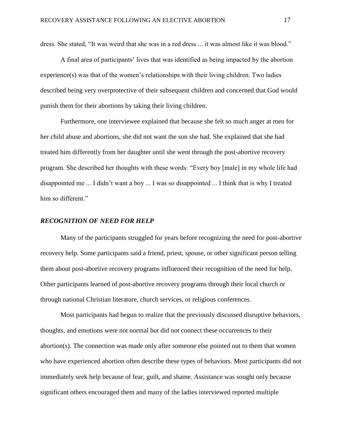dress. She stated, "It was weird that she was in a red dress ... it was almost like it was blood."

A final area of participants' lives that was identified as being impacted by the abortion  $experience(s)$  was that of the women's relationships with their living children. Two ladies described being very overprotective of their subsequent children and concerned that God would punish them for their abortions by taking their living children.

Furthermore, one interviewee explained that because she felt so much anger at men for her child abuse and abortions, she did not want the son she had. She explained that she had treated him differently from her daughter until she went through the post-abortive recovery program. She described her thoughts with these words: "Every boy [male] in my whole life had disappointed me ... I didn't want a boy ... I was so disappointed ... I think that is why I treated him so different."

#### *RECOGNITION OF NEED FOR HELP*

Many of the participants struggled for years before recognizing the need for post-abortive recovery help. Some participants said a friend, priest, spouse, or other significant person telling them about post-abortive recovery programs influenced their recognition of the need for help. Other participants learned of post-abortive recovery programs through their local church or through national Christian literature, church services, or religious conferences.

Most participants had begun to realize that the previously discussed disruptive behaviors, thoughts, and emotions were not normal but did not connect these occurrences to their abortion(s). The connection was made only after someone else pointed out to them that women who have experienced abortion often describe these types of behaviors. Most participants did not immediately seek help because of fear, guilt, and shame. Assistance was sought only because significant others encouraged them and many of the ladies interviewed reported multiple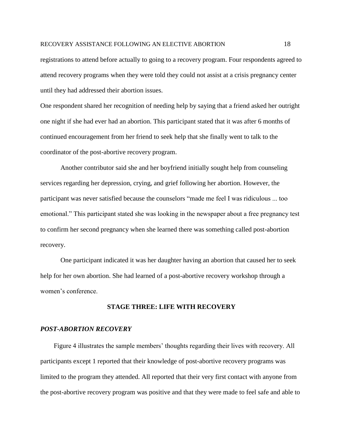#### RECOVERY ASSISTANCE FOLLOWING AN ELECTIVE ABORTION 18

registrations to attend before actually to going to a recovery program. Four respondents agreed to attend recovery programs when they were told they could not assist at a crisis pregnancy center until they had addressed their abortion issues.

One respondent shared her recognition of needing help by saying that a friend asked her outright one night if she had ever had an abortion. This participant stated that it was after 6 months of continued encouragement from her friend to seek help that she finally went to talk to the coordinator of the post-abortive recovery program.

Another contributor said she and her boyfriend initially sought help from counseling services regarding her depression, crying, and grief following her abortion. However, the participant was never satisfied because the counselors "made me feel I was ridiculous ... too emotional." This participant stated she was looking in the newspaper about a free pregnancy test to confirm her second pregnancy when she learned there was something called post-abortion recovery.

One participant indicated it was her daughter having an abortion that caused her to seek help for her own abortion. She had learned of a post-abortive recovery workshop through a women's conference.

#### **STAGE THREE: LIFE WITH RECOVERY**

#### *POST-ABORTION RECOVERY*

 Figure 4 illustrates the sample members' thoughts regarding their lives with recovery. All participants except 1 reported that their knowledge of post-abortive recovery programs was limited to the program they attended. All reported that their very first contact with anyone from the post-abortive recovery program was positive and that they were made to feel safe and able to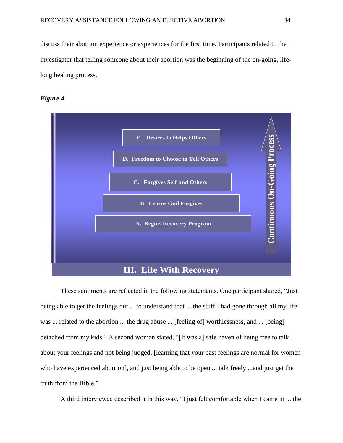discuss their abortion experience or experiences for the first time. Participants related to the investigator that telling someone about their abortion was the beginning of the on-going, lifelong healing process.





These sentiments are reflected in the following statements. One participant shared, "Just being able to get the feelings out ... to understand that ... the stuff I had gone through all my life was ... related to the abortion ... the drug abuse ... [feeling of] worthlessness, and ... [being] detached from my kids." A second woman stated, "[It was a] safe haven of being free to talk about your feelings and not being judged, [learning that your past feelings are normal for women who have experienced abortion], and just being able to be open ... talk freely ...and just get the truth from the Bible."

A third interviewee described it in this way, "I just felt comfortable when I came in ... the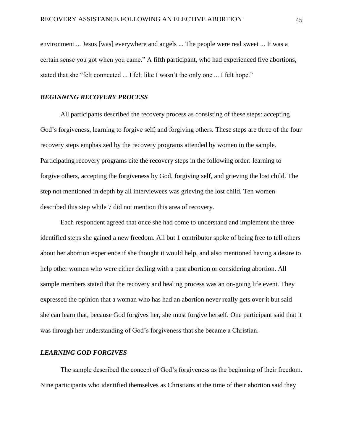environment ... Jesus [was] everywhere and angels ... The people were real sweet ... It was a certain sense you got when you came." A fifth participant, who had experienced five abortions, stated that she "felt connected ... I felt like I wasn't the only one ... I felt hope."

# *BEGINNING RECOVERY PROCESS*

All participants described the recovery process as consisting of these steps: accepting God's forgiveness, learning to forgive self, and forgiving others. These steps are three of the four recovery steps emphasized by the recovery programs attended by women in the sample. Participating recovery programs cite the recovery steps in the following order: learning to forgive others, accepting the forgiveness by God, forgiving self, and grieving the lost child. The step not mentioned in depth by all interviewees was grieving the lost child. Ten women described this step while 7 did not mention this area of recovery.

Each respondent agreed that once she had come to understand and implement the three identified steps she gained a new freedom. All but 1 contributor spoke of being free to tell others about her abortion experience if she thought it would help, and also mentioned having a desire to help other women who were either dealing with a past abortion or considering abortion. All sample members stated that the recovery and healing process was an on-going life event. They expressed the opinion that a woman who has had an abortion never really gets over it but said she can learn that, because God forgives her, she must forgive herself. One participant said that it was through her understanding of God's forgiveness that she became a Christian.

#### *LEARNING GOD FORGIVES*

The sample described the concept of God's forgiveness as the beginning of their freedom. Nine participants who identified themselves as Christians at the time of their abortion said they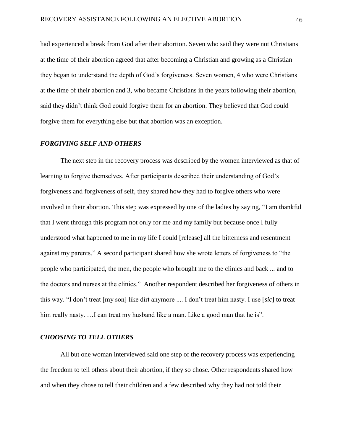had experienced a break from God after their abortion. Seven who said they were not Christians at the time of their abortion agreed that after becoming a Christian and growing as a Christian they began to understand the depth of God's forgiveness. Seven women, 4 who were Christians at the time of their abortion and 3, who became Christians in the years following their abortion, said they didn't think God could forgive them for an abortion. They believed that God could forgive them for everything else but that abortion was an exception.

#### *FORGIVING SELF AND OTHERS*

The next step in the recovery process was described by the women interviewed as that of learning to forgive themselves. After participants described their understanding of God's forgiveness and forgiveness of self, they shared how they had to forgive others who were involved in their abortion. This step was expressed by one of the ladies by saying, "I am thankful that I went through this program not only for me and my family but because once I fully understood what happened to me in my life I could [release] all the bitterness and resentment against my parents." A second participant shared how she wrote letters of forgiveness to "the people who participated, the men, the people who brought me to the clinics and back ... and to the doctors and nurses at the clinics." Another respondent described her forgiveness of others in this way. "I don't treat [my son] like dirt anymore .... I don't treat him nasty. I use [*sic*] to treat him really nasty. ... I can treat my husband like a man. Like a good man that he is".

#### *CHOOSING TO TELL OTHERS*

All but one woman interviewed said one step of the recovery process was experiencing the freedom to tell others about their abortion, if they so chose. Other respondents shared how and when they chose to tell their children and a few described why they had not told their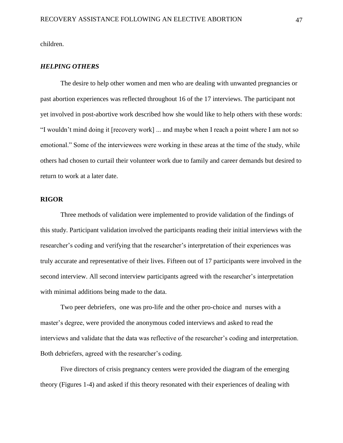children.

#### *HELPING OTHERS*

The desire to help other women and men who are dealing with unwanted pregnancies or past abortion experiences was reflected throughout 16 of the 17 interviews. The participant not yet involved in post-abortive work described how she would like to help others with these words: "I wouldn't mind doing it [recovery work] ... and maybe when I reach a point where I am not so emotional." Some of the interviewees were working in these areas at the time of the study, while others had chosen to curtail their volunteer work due to family and career demands but desired to return to work at a later date.

#### **RIGOR**

Three methods of validation were implemented to provide validation of the findings of this study. Participant validation involved the participants reading their initial interviews with the researcher's coding and verifying that the researcher's interpretation of their experiences was truly accurate and representative of their lives. Fifteen out of 17 participants were involved in the second interview. All second interview participants agreed with the researcher's interpretation with minimal additions being made to the data.

Two peer debriefers, one was pro-life and the other pro-choice and nurses with a master's degree, were provided the anonymous coded interviews and asked to read the interviews and validate that the data was reflective of the researcher's coding and interpretation. Both debriefers, agreed with the researcher's coding.

Five directors of crisis pregnancy centers were provided the diagram of the emerging theory (Figures 1-4) and asked if this theory resonated with their experiences of dealing with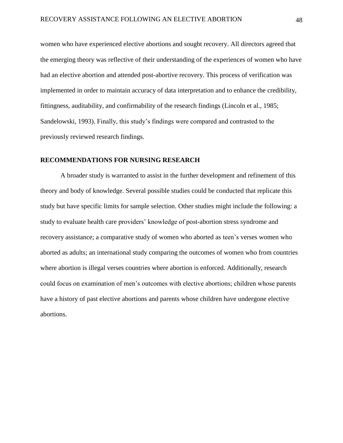women who have experienced elective abortions and sought recovery. All directors agreed that the emerging theory was reflective of their understanding of the experiences of women who have had an elective abortion and attended post-abortive recovery. This process of verification was implemented in order to maintain accuracy of data interpretation and to enhance the credibility, fittingness, auditability, and confirmability of the research findings (Lincoln et al., 1985; Sandelowski, 1993). Finally, this study's findings were compared and contrasted to the previously reviewed research findings.

## **RECOMMENDATIONS FOR NURSING RESEARCH**

A broader study is warranted to assist in the further development and refinement of this theory and body of knowledge. Several possible studies could be conducted that replicate this study but have specific limits for sample selection. Other studies might include the following: a study to evaluate health care providers' knowledge of post-abortion stress syndrome and recovery assistance; a comparative study of women who aborted as teen's verses women who aborted as adults; an international study comparing the outcomes of women who from countries where abortion is illegal verses countries where abortion is enforced. Additionally, research could focus on examination of men's outcomes with elective abortions; children whose parents have a history of past elective abortions and parents whose children have undergone elective abortions.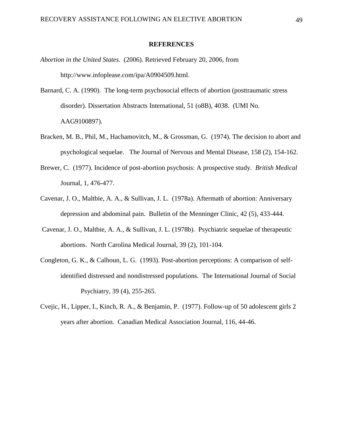#### **REFERENCES**

- *Abortion in the United States.* (2006). Retrieved February 20, 2006, from http://www.infoplease.com/ipa/A0904509.html.
- Barnard, C. A. (1990). The long-term psychosocial effects of abortion (posttraumatic stress disorder). Dissertation Abstracts International, 51 (o8B), 4038. (UMI No. AAG9100897).
- Bracken, M. B., Phil, M., Hachamovitch, M., & Grossman, G. (1974). The decision to abort and psychological sequelae. The Journal of Nervous and Mental Disease, 158 (2), 154-162.
- Brewer, C. (1977). Incidence of post-abortion psychosis: A prospective study. *British Medical*  Journal, 1, 476-477.
- Cavenar, J. O., Maltbie, A. A., & Sullivan, J. L. (1978a). Aftermath of abortion: Anniversary depression and abdominal pain. Bulletin of the Menninger Clinic, 42 (5), 433-444.
- Cavenar, J. O., Maltbie, A. A., & Sullivan, J. L. (1978b). Psychiatric sequelae of therapeutic abortions. North Carolina Medical Journal, 39 (2), 101-104.
- Congleton, G. K., & Calhoun, L. G. (1993). Post-abortion perceptions: A comparison of selfidentified distressed and nondistressed populations. The International Journal of Social Psychiatry, 39 (4), 255-265.
- Cvejic, H., Lipper, I., Kinch, R. A., & Benjamin, P. (1977). Follow-up of 50 adolescent girls 2 years after abortion. Canadian Medical Association Journal, 116, 44-46.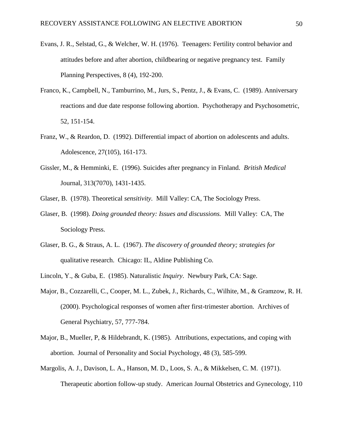- Evans, J. R., Selstad, G., & Welcher, W. H. (1976). Teenagers: Fertility control behavior and attitudes before and after abortion, childbearing or negative pregnancy test. Family Planning Perspectives, 8 (4), 192-200.
- Franco, K., Campbell, N., Tamburrino, M., Jurs, S., Pentz, J., & Evans, C. (1989). Anniversary reactions and due date response following abortion. Psychotherapy and Psychosometric, 52, 151-154.
- Franz, W., & Reardon, D. (1992). Differential impact of abortion on adolescents and adults. Adolescence, 27(105), 161-173.
- Gissler, M., & Hemminki, E. (1996). Suicides after pregnancy in Finland. *British Medical*  Journal, 313(7070), 1431-1435.
- Glaser, B. (1978). Theoretical *sensitivity.* Mill Valley: CA, The Sociology Press.
- Glaser, B. (1998). *Doing grounded theory: Issues and discussions.* Mill Valley: CA, The Sociology Press.
- Glaser, B. G., & Straus, A. L. (1967). *The discovery of grounded theory; strategies for*  qualitative research. Chicago: IL, Aldine Publishing Co.
- Lincoln, Y., & Guba, E. (1985). Naturalistic *Inquiry*. Newbury Park, CA: Sage.
- Major, B., Cozzarelli, C., Cooper, M. L., Zubek, J., Richards, C., Wilhite, M., & Gramzow, R. H. (2000). Psychological responses of women after first-trimester abortion. Archives of General Psychiatry, 57, 777-784.
- Major, B., Mueller, P, & Hildebrandt, K. (1985). Attributions, expectations, and coping with abortion. Journal of Personality and Social Psychology, 48 (3), 585-599.
- Margolis, A. J., Davison, L. A., Hanson, M. D., Loos, S. A., & Mikkelsen, C. M. (1971). Therapeutic abortion follow-up study. American Journal Obstetrics and Gynecology, 110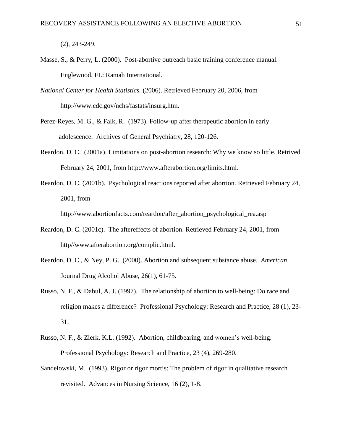(2), 243-249.

- Masse, S., & Perry, L. (2000). Post-abortive outreach basic training conference manual. Englewood, FL: Ramah International.
- *National Center for Health Statistics.* (2006). Retrieved February 20, 2006, from http://www.cdc.gov/nchs/fastats/insurg.htm.
- Perez-Reyes, M. G., & Falk, R. (1973). Follow-up after therapeutic abortion in early adolescence. Archives of General Psychiatry, 28, 120-126.
- Reardon, D. C. (2001a). Limitations on post-abortion research: Why we know so little. Retrived February 24, 2001, from http://www.afterabortion.org/limits.html.
- Reardon, D. C. (2001b). Psychological reactions reported after abortion. Retrieved February 24, 2001, from

http://www.abortionfacts.com/reardon/after\_abortion\_psychological\_rea.asp

- Reardon, D. C. (2001c). The aftereffects of abortion. Retrieved February 24, 2001, from http//www.afterabortion.org/complic.html.
- Reardon, D. C., & Ney, P. G. (2000). Abortion and subsequent substance abuse. *American*  Journal Drug Alcohol Abuse, 26(1), 61-75.
- Russo, N. F., & Dabul, A. J. (1997). The relationship of abortion to well-being: Do race and religion makes a difference? Professional Psychology: Research and Practice, 28 (1), 23- 31.
- Russo, N. F., & Zierk, K.L. (1992). Abortion, childbearing, and women's well-being. Professional Psychology: Research and Practice, 23 (4), 269-280.
- Sandelowski, M. (1993). Rigor or rigor mortis: The problem of rigor in qualitative research revisited. Advances in Nursing Science, 16 (2), 1-8.